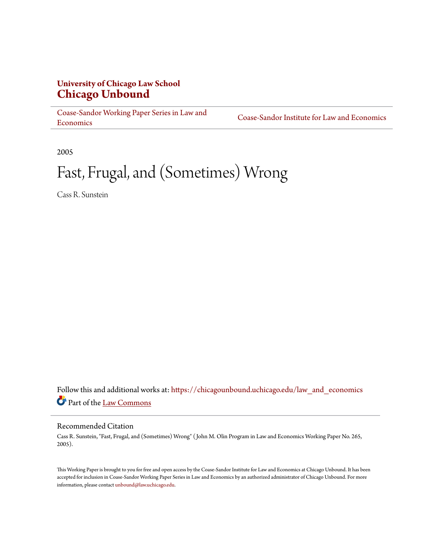# **University of Chicago Law School [Chicago Unbound](https://chicagounbound.uchicago.edu?utm_source=chicagounbound.uchicago.edu%2Flaw_and_economics%2F209&utm_medium=PDF&utm_campaign=PDFCoverPages)**

[Coase-Sandor Working Paper Series in Law and](https://chicagounbound.uchicago.edu/law_and_economics?utm_source=chicagounbound.uchicago.edu%2Flaw_and_economics%2F209&utm_medium=PDF&utm_campaign=PDFCoverPages) [Economics](https://chicagounbound.uchicago.edu/law_and_economics?utm_source=chicagounbound.uchicago.edu%2Flaw_and_economics%2F209&utm_medium=PDF&utm_campaign=PDFCoverPages)

[Coase-Sandor Institute for Law and Economics](https://chicagounbound.uchicago.edu/coase_sandor_institute?utm_source=chicagounbound.uchicago.edu%2Flaw_and_economics%2F209&utm_medium=PDF&utm_campaign=PDFCoverPages)

2005

# Fast, Frugal, and (Sometimes) Wrong

Cass R. Sunstein

Follow this and additional works at: [https://chicagounbound.uchicago.edu/law\\_and\\_economics](https://chicagounbound.uchicago.edu/law_and_economics?utm_source=chicagounbound.uchicago.edu%2Flaw_and_economics%2F209&utm_medium=PDF&utm_campaign=PDFCoverPages) Part of the [Law Commons](http://network.bepress.com/hgg/discipline/578?utm_source=chicagounbound.uchicago.edu%2Flaw_and_economics%2F209&utm_medium=PDF&utm_campaign=PDFCoverPages)

#### Recommended Citation

Cass R. Sunstein, "Fast, Frugal, and (Sometimes) Wrong" ( John M. Olin Program in Law and Economics Working Paper No. 265, 2005).

This Working Paper is brought to you for free and open access by the Coase-Sandor Institute for Law and Economics at Chicago Unbound. It has been accepted for inclusion in Coase-Sandor Working Paper Series in Law and Economics by an authorized administrator of Chicago Unbound. For more information, please contact [unbound@law.uchicago.edu.](mailto:unbound@law.uchicago.edu)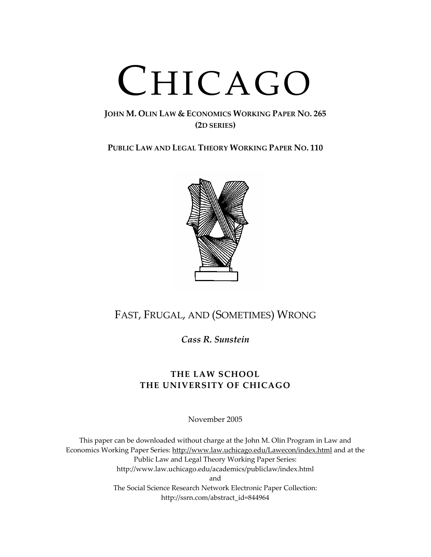# CHICAGO

## **JOHN M. OLIN LAW & ECONOMICS WORKING PAPER NO. 265 (2D SERIES)**

**PUBLIC LAW AND LEGAL THEORY WORKING PAPER NO. 110**



# FAST, FRUGAL, AND (SOMETIMES) WRONG

*Cass R. Sunstein*

# **THE LAW SCHOOL THE UNIVERSITY OF CHICAGO**

November 2005

This paper can be downloaded without charge at the John M. Olin Program in Law and Economics Working Paper Series: http://www.law.uchicago.edu/Lawecon/index.html and at the Public Law and Legal Theory Working Paper Series: http://www.law.uchicago.edu/academics/publiclaw/index.html and The Social Science Research Network Electronic Paper Collection: http://ssrn.com/abstract\_id=844964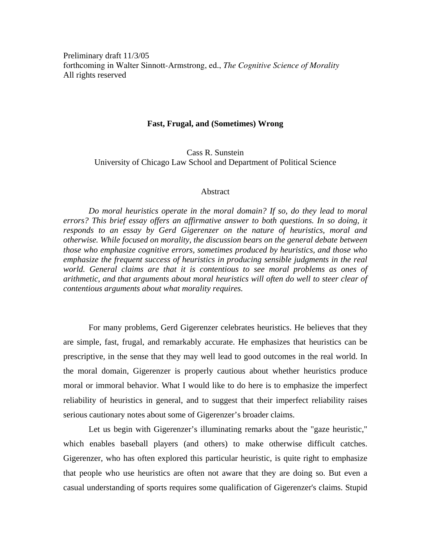Preliminary draft 11/3/05 forthcoming in Walter Sinnott-Armstrong, ed., *The Cognitive Science of Morality* All rights reserved

#### **Fast, Frugal, and (Sometimes) Wrong**

Cass R. Sunstein University of Chicago Law School and Department of Political Science

#### Abstract

*Do moral heuristics operate in the moral domain? If so, do they lead to moral errors? This brief essay offers an affirmative answer to both questions. In so doing, it responds to an essay by Gerd Gigerenzer on the nature of heuristics, moral and otherwise. While focused on morality, the discussion bears on the general debate between those who emphasize cognitive errors, sometimes produced by heuristics, and those who emphasize the frequent success of heuristics in producing sensible judgments in the real world. General claims are that it is contentious to see moral problems as ones of arithmetic, and that arguments about moral heuristics will often do well to steer clear of contentious arguments about what morality requires.* 

For many problems, Gerd Gigerenzer celebrates heuristics. He believes that they are simple, fast, frugal, and remarkably accurate. He emphasizes that heuristics can be prescriptive, in the sense that they may well lead to good outcomes in the real world. In the moral domain, Gigerenzer is properly cautious about whether heuristics produce moral or immoral behavior. What I would like to do here is to emphasize the imperfect reliability of heuristics in general, and to suggest that their imperfect reliability raises serious cautionary notes about some of Gigerenzer's broader claims.

Let us begin with Gigerenzer's illuminating remarks about the "gaze heuristic," which enables baseball players (and others) to make otherwise difficult catches. Gigerenzer, who has often explored this particular heuristic, is quite right to emphasize that people who use heuristics are often not aware that they are doing so. But even a casual understanding of sports requires some qualification of Gigerenzer's claims. Stupid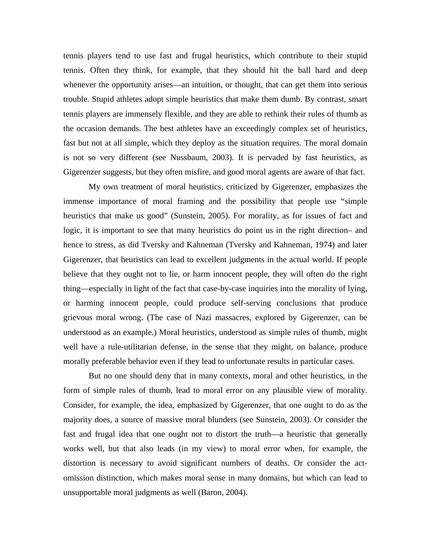tennis players tend to use fast and frugal heuristics, which contribute to their stupid tennis. Often they think, for example, that they should hit the ball hard and deep whenever the opportunity arises—an intuition, or thought, that can get them into serious trouble. Stupid athletes adopt simple heuristics that make them dumb. By contrast, smart tennis players are immensely flexible, and they are able to rethink their rules of thumb as the occasion demands. The best athletes have an exceedingly complex set of heuristics, fast but not at all simple, which they deploy as the situation requires. The moral domain is not so very different (see Nussbaum, 2003). It is pervaded by fast heuristics, as Gigerenzer suggests, but they often misfire, and good moral agents are aware of that fact.

My own treatment of moral heuristics, criticized by Gigerenzer, emphasizes the immense importance of moral framing and the possibility that people use "simple heuristics that make us good" (Sunstein, 2005). For morality, as for issues of fact and logic, it is important to see that many heuristics do point us in the right direction– and hence to stress, as did Tversky and Kahneman (Tversky and Kahneman, 1974) and later Gigerenzer, that heuristics can lead to excellent judgments in the actual world. If people believe that they ought not to lie, or harm innocent people, they will often do the right thing—especially in light of the fact that case-by-case inquiries into the morality of lying, or harming innocent people, could produce self-serving conclusions that produce grievous moral wrong. (The case of Nazi massacres, explored by Gigerenzer, can be understood as an example.) Moral heuristics, understood as simple rules of thumb, might well have a rule-utilitarian defense, in the sense that they might, on balance, produce morally preferable behavior even if they lead to unfortunate results in particular cases.

But no one should deny that in many contexts, moral and other heuristics, in the form of simple rules of thumb, lead to moral error on any plausible view of morality. Consider, for example, the idea, emphasized by Gigerenzer, that one ought to do as the majority does, a source of massive moral blunders (see Sunstein, 2003). Or consider the fast and frugal idea that one ought not to distort the truth—a heuristic that generally works well, but that also leads (in my view) to moral error when, for example, the distortion is necessary to avoid significant numbers of deaths. Or consider the actomission distinction, which makes moral sense in many domains, but which can lead to unsupportable moral judgments as well (Baron, 2004).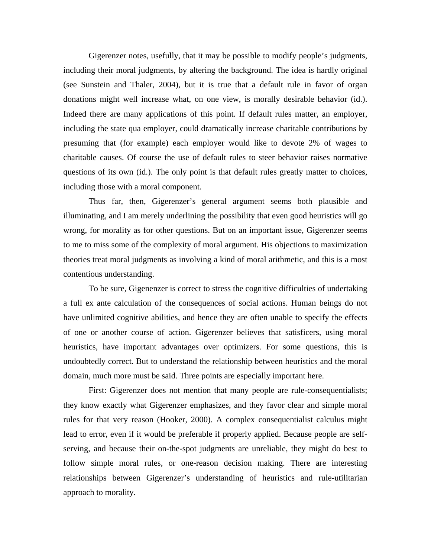Gigerenzer notes, usefully, that it may be possible to modify people's judgments, including their moral judgments, by altering the background. The idea is hardly original (see Sunstein and Thaler, 2004), but it is true that a default rule in favor of organ donations might well increase what, on one view, is morally desirable behavior (id.). Indeed there are many applications of this point. If default rules matter, an employer, including the state qua employer, could dramatically increase charitable contributions by presuming that (for example) each employer would like to devote 2% of wages to charitable causes. Of course the use of default rules to steer behavior raises normative questions of its own (id.). The only point is that default rules greatly matter to choices, including those with a moral component.

Thus far, then, Gigerenzer's general argument seems both plausible and illuminating, and I am merely underlining the possibility that even good heuristics will go wrong, for morality as for other questions. But on an important issue, Gigerenzer seems to me to miss some of the complexity of moral argument. His objections to maximization theories treat moral judgments as involving a kind of moral arithmetic, and this is a most contentious understanding.

To be sure, Gigenenzer is correct to stress the cognitive difficulties of undertaking a full ex ante calculation of the consequences of social actions. Human beings do not have unlimited cognitive abilities, and hence they are often unable to specify the effects of one or another course of action. Gigerenzer believes that satisficers, using moral heuristics, have important advantages over optimizers. For some questions, this is undoubtedly correct. But to understand the relationship between heuristics and the moral domain, much more must be said. Three points are especially important here.

First: Gigerenzer does not mention that many people are rule-consequentialists; they know exactly what Gigerenzer emphasizes, and they favor clear and simple moral rules for that very reason (Hooker, 2000). A complex consequentialist calculus might lead to error, even if it would be preferable if properly applied. Because people are selfserving, and because their on-the-spot judgments are unreliable, they might do best to follow simple moral rules, or one-reason decision making. There are interesting relationships between Gigerenzer's understanding of heuristics and rule-utilitarian approach to morality.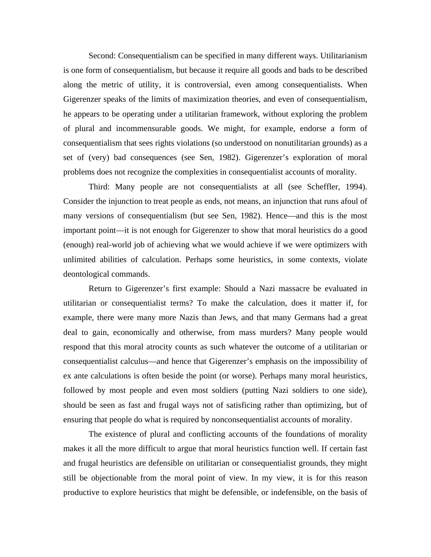Second: Consequentialism can be specified in many different ways. Utilitarianism is one form of consequentialism, but because it require all goods and bads to be described along the metric of utility, it is controversial, even among consequentialists. When Gigerenzer speaks of the limits of maximization theories, and even of consequentialism, he appears to be operating under a utilitarian framework, without exploring the problem of plural and incommensurable goods. We might, for example, endorse a form of consequentialism that sees rights violations (so understood on nonutilitarian grounds) as a set of (very) bad consequences (see Sen, 1982). Gigerenzer's exploration of moral problems does not recognize the complexities in consequentialist accounts of morality.

Third: Many people are not consequentialists at all (see Scheffler, 1994). Consider the injunction to treat people as ends, not means, an injunction that runs afoul of many versions of consequentialism (but see Sen, 1982). Hence—and this is the most important point—it is not enough for Gigerenzer to show that moral heuristics do a good (enough) real-world job of achieving what we would achieve if we were optimizers with unlimited abilities of calculation. Perhaps some heuristics, in some contexts, violate deontological commands.

Return to Gigerenzer's first example: Should a Nazi massacre be evaluated in utilitarian or consequentialist terms? To make the calculation, does it matter if, for example, there were many more Nazis than Jews, and that many Germans had a great deal to gain, economically and otherwise, from mass murders? Many people would respond that this moral atrocity counts as such whatever the outcome of a utilitarian or consequentialist calculus—and hence that Gigerenzer's emphasis on the impossibility of ex ante calculations is often beside the point (or worse). Perhaps many moral heuristics, followed by most people and even most soldiers (putting Nazi soldiers to one side), should be seen as fast and frugal ways not of satisficing rather than optimizing, but of ensuring that people do what is required by nonconsequentialist accounts of morality.

The existence of plural and conflicting accounts of the foundations of morality makes it all the more difficult to argue that moral heuristics function well. If certain fast and frugal heuristics are defensible on utilitarian or consequentialist grounds, they might still be objectionable from the moral point of view. In my view, it is for this reason productive to explore heuristics that might be defensible, or indefensible, on the basis of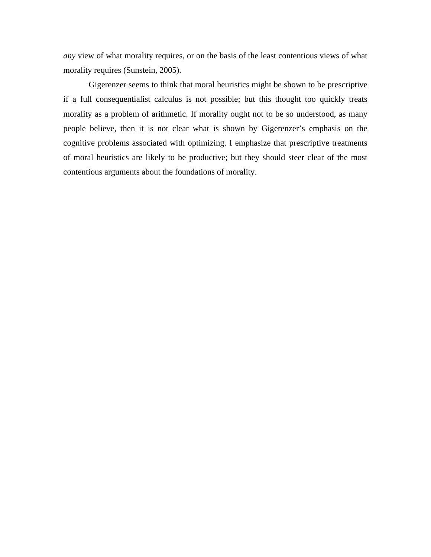*any* view of what morality requires, or on the basis of the least contentious views of what morality requires (Sunstein, 2005).

Gigerenzer seems to think that moral heuristics might be shown to be prescriptive if a full consequentialist calculus is not possible; but this thought too quickly treats morality as a problem of arithmetic. If morality ought not to be so understood, as many people believe, then it is not clear what is shown by Gigerenzer's emphasis on the cognitive problems associated with optimizing. I emphasize that prescriptive treatments of moral heuristics are likely to be productive; but they should steer clear of the most contentious arguments about the foundations of morality.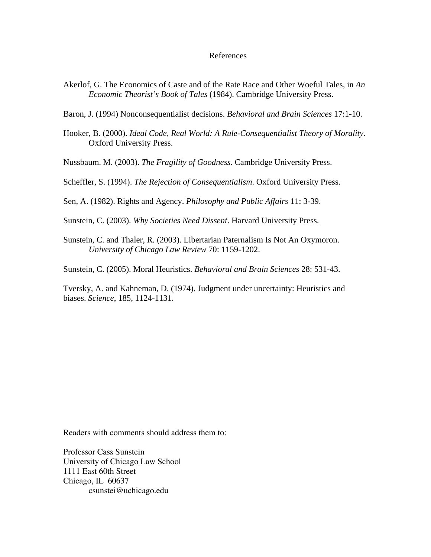#### References

- Akerlof, G. The Economics of Caste and of the Rate Race and Other Woeful Tales, in *An Economic Theorist's Book of Tales* (1984). Cambridge University Press.
- Baron, J. (1994) Nonconsequentialist decisions. *Behavioral and Brain Sciences* 17:1-10.
- Hooker, B. (2000). *Ideal Code, Real World: A Rule-Consequentialist Theory of Morality*. Oxford University Press.
- Nussbaum. M. (2003). *The Fragility of Goodness*. Cambridge University Press.
- Scheffler, S. (1994). *The Rejection of Consequentialism*. Oxford University Press.
- Sen, A. (1982). Rights and Agency. *Philosophy and Public Affairs* 11: 3-39.
- Sunstein, C. (2003). *Why Societies Need Dissent*. Harvard University Press.
- Sunstein, C. and Thaler, R. (2003). Libertarian Paternalism Is Not An Oxymoron. *University of Chicago Law Review* 70: 1159-1202.

Sunstein, C. (2005). Moral Heuristics. *Behavioral and Brain Sciences* 28: 531-43.

Tversky, A. and Kahneman, D. (1974). Judgment under uncertainty: Heuristics and biases. *Science*, 185, 1124-1131.

Readers with comments should address them to:

Professor Cass Sunstein University of Chicago Law School 1111 East 60th Street Chicago, IL 60637 csunstei@uchicago.edu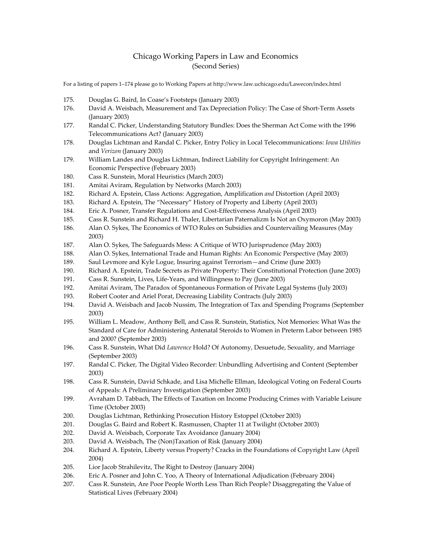### Chicago Working Papers in Law and Economics (Second Series)

For a listing of papers 1–174 please go to Working Papers at http://www.law.uchicago.edu/Lawecon/index.html

- 175. Douglas G. Baird, In Coase's Footsteps (January 2003)
- 176. David A. Weisbach, Measurement and Tax Depreciation Policy: The Case of Short-Term Assets (January 2003)
- 177. Randal C. Picker, Understanding Statutory Bundles: Does the Sherman Act Come with the 1996 Telecommunications Act? (January 2003)
- 178. Douglas Lichtman and Randal C. Picker, Entry Policy in Local Telecommunications: *Iowa Utilities* and *Verizon* (January 2003)
- 179. William Landes and Douglas Lichtman, Indirect Liability for Copyright Infringement: An Economic Perspective (February 2003)
- 180. Cass R. Sunstein, Moral Heuristics (March 2003)
- 181. Amitai Aviram, Regulation by Networks (March 2003)
- 182. Richard A. Epstein, Class Actions: Aggregation, Amplification *and* Distortion (April 2003)
- 183. Richard A. Epstein, The "Necessary" History of Property and Liberty (April 2003)
- 184. Eric A. Posner, Transfer Regulations and Cost‐Effectiveness Analysis (April 2003)
- 185. Cass R. Sunstein and Richard H. Thaler, Libertarian Paternalizm Is Not an Oxymoron (May 2003)
- 186. Alan O. Sykes, The Economics of WTO Rules on Subsidies and Countervailing Measures (May 2003)
- 187. Alan O. Sykes, The Safeguards Mess: A Critique of WTO Jurisprudence (May 2003)
- 188. Alan O. Sykes, International Trade and Human Rights: An Economic Perspective (May 2003)
- 189. Saul Levmore and Kyle Logue, Insuring against Terrorism—and Crime (June 2003)
- 190. Richard A. Epstein, Trade Secrets as Private Property: Their Constitutional Protection (June 2003)
- 191. Cass R. Sunstein, Lives, Life-Years, and Willingness to Pay (June 2003)
- 192. Amitai Aviram, The Paradox of Spontaneous Formation of Private Legal Systems (July 2003)
- 193. Robert Cooter and Ariel Porat, Decreasing Liability Contracts (July 2003)
- 194. David A. Weisbach and Jacob Nussim, The Integration of Tax and Spending Programs (September 2003)
- 195. William L. Meadow, Anthony Bell, and Cass R. Sunstein, Statistics, Not Memories: What Was the Standard of Care for Administering Antenatal Steroids to Women in Preterm Labor between 1985 and 2000? (September 2003)
- 196. Cass R. Sunstein, What Did *Lawrence* Hold? Of Autonomy, Desuetude, Sexuality, and Marriage (September 2003)
- 197. Randal C. Picker, The Digital Video Recorder: Unbundling Advertising and Content (September 2003)
- 198. Cass R. Sunstein, David Schkade, and Lisa Michelle Ellman, Ideological Voting on Federal Courts of Appeals: A Preliminary Investigation (September 2003)
- 199. Avraham D. Tabbach, The Effects of Taxation on Income Producing Crimes with Variable Leisure Time (October 2003)
- 200. Douglas Lichtman, Rethinking Prosecution History Estoppel (October 2003)
- 201. Douglas G. Baird and Robert K. Rasmussen, Chapter 11 at Twilight (October 2003)
- 202. David A. Weisbach, Corporate Tax Avoidance (January 2004)
- 203. David A. Weisbach, The (Non)Taxation of Risk (January 2004)
- 204. Richard A. Epstein, Liberty versus Property? Cracks in the Foundations of Copyright Law (April 2004)
- 205. Lior Jacob Strahilevitz, The Right to Destroy (January 2004)
- 206. Eric A. Posner and John C. Yoo, A Theory of International Adjudication (February 2004)
- 207. Cass R. Sunstein, Are Poor People Worth Less Than Rich People? Disaggregating the Value of Statistical Lives (February 2004)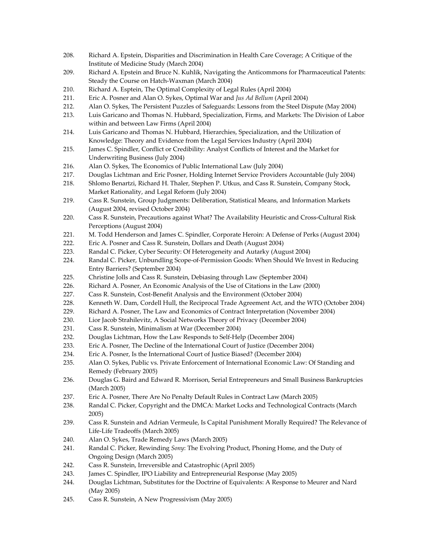- 208. Richard A. Epstein, Disparities and Discrimination in Health Care Coverage; A Critique of the Institute of Medicine Study (March 2004)
- 209. Richard A. Epstein and Bruce N. Kuhlik, Navigating the Anticommons for Pharmaceutical Patents: Steady the Course on Hatch‐Waxman (March 2004)
- 210. Richard A. Esptein, The Optimal Complexity of Legal Rules (April 2004)
- 211. Eric A. Posner and Alan O. Sykes, Optimal War and *Jus Ad Bellum* (April 2004)
- 212. Alan O. Sykes, The Persistent Puzzles of Safeguards: Lessons from the Steel Dispute (May 2004)
- 213. Luis Garicano and Thomas N. Hubbard, Specialization, Firms, and Markets: The Division of Labor within and between Law Firms (April 2004)
- 214. Luis Garicano and Thomas N. Hubbard, Hierarchies, Specialization, and the Utilization of Knowledge: Theory and Evidence from the Legal Services Industry (April 2004)
- 215. James C. Spindler, Conflict or Credibility: Analyst Conflicts of Interest and the Market for Underwriting Business (July 2004)
- 216. Alan O. Sykes, The Economics of Public International Law (July 2004)
- 217. Douglas Lichtman and Eric Posner, Holding Internet Service Providers Accountable (July 2004)
- 218. Shlomo Benartzi, Richard H. Thaler, Stephen P. Utkus, and Cass R. Sunstein, Company Stock, Market Rationality, and Legal Reform (July 2004)
- 219. Cass R. Sunstein, Group Judgments: Deliberation, Statistical Means, and Information Markets (August 2004, revised October 2004)
- 220. Cass R. Sunstein, Precautions against What? The Availability Heuristic and Cross-Cultural Risk Perceptions (August 2004)
- 221. M. Todd Henderson and James C. Spindler, Corporate Heroin: A Defense of Perks (August 2004)
- 222. Eric A. Posner and Cass R. Sunstein, Dollars and Death (August 2004)
- 223. Randal C. Picker, Cyber Security: Of Heterogeneity and Autarky (August 2004)
- 224. Randal C. Picker, Unbundling Scope-of-Permission Goods: When Should We Invest in Reducing Entry Barriers? (September 2004)
- 225. Christine Jolls and Cass R. Sunstein, Debiasing through Law (September 2004)
- 226. Richard A. Posner, An Economic Analysis of the Use of Citations in the Law (2000)
- 227. Cass R. Sunstein, Cost-Benefit Analysis and the Environment (October 2004)
- 228. Kenneth W. Dam, Cordell Hull, the Reciprocal Trade Agreement Act, and the WTO (October 2004)
- 229. Richard A. Posner, The Law and Economics of Contract Interpretation (November 2004)
- 230. Lior Jacob Strahilevitz, A Social Networks Theory of Privacy (December 2004)
- 231. Cass R. Sunstein, Minimalism at War (December 2004)
- 232. Douglas Lichtman, How the Law Responds to Self-Help (December 2004)
- 233. Eric A. Posner, The Decline of the International Court of Justice (December 2004)
- 234. Eric A. Posner, Is the International Court of Justice Biased? (December 2004)
- 235. Alan O. Sykes, Public vs. Private Enforcement of International Economic Law: Of Standing and Remedy (February 2005)
- 236. Douglas G. Baird and Edward R. Morrison, Serial Entrepreneurs and Small Business Bankruptcies (March 2005)
- 237. Eric A. Posner, There Are No Penalty Default Rules in Contract Law (March 2005)
- 238. Randal C. Picker, Copyright and the DMCA: Market Locks and Technological Contracts (March 2005)
- 239. Cass R. Sunstein and Adrian Vermeule, Is Capital Punishment Morally Required? The Relevance of Life‐Life Tradeoffs (March 2005)
- 240. Alan O. Sykes, Trade Remedy Laws (March 2005)
- 241. Randal C. Picker, Rewinding *Sony*: The Evolving Product, Phoning Home, and the Duty of Ongoing Design (March 2005)
- 242. Cass R. Sunstein, Irreversible and Catastrophic (April 2005)
- 243. James C. Spindler, IPO Liability and Entrepreneurial Response (May 2005)
- 244. Douglas Lichtman, Substitutes for the Doctrine of Equivalents: A Response to Meurer and Nard (May 2005)
- 245. Cass R. Sunstein, A New Progressivism (May 2005)